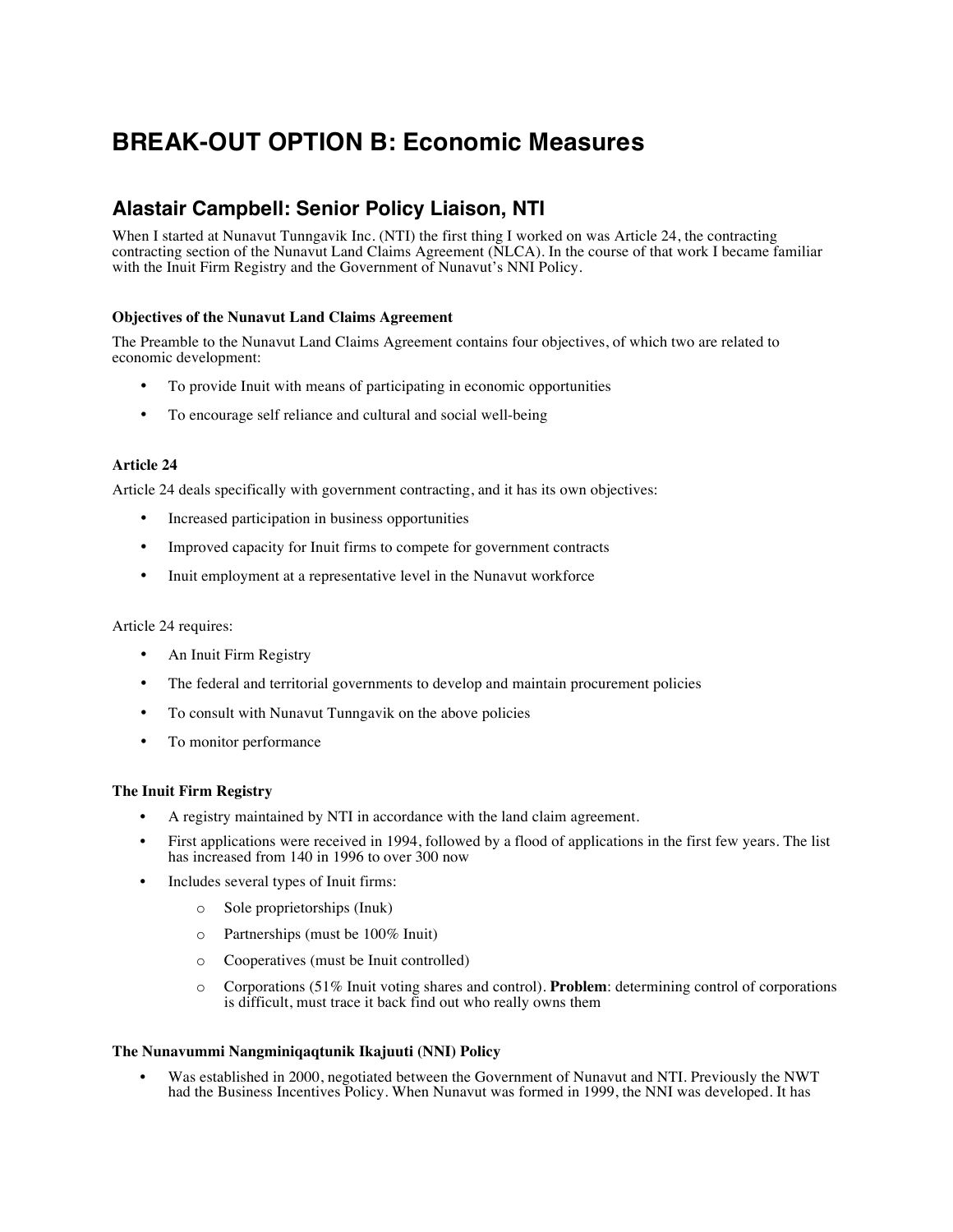# **BREAK-OUT OPTION B: Economic Measures**

# **Alastair Campbell: Senior Policy Liaison, NTI**

When I started at Nunavut Tunngavik Inc. (NTI) the first thing I worked on was Article 24, the contracting contracting section of the Nunavut Land Claims Agreement (NLCA). In the course of that work I became familiar with the Inuit Firm Registry and the Government of Nunavut's NNI Policy.

## **Objectives of the Nunavut Land Claims Agreement**

The Preamble to the Nunavut Land Claims Agreement contains four objectives, of which two are related to economic development:

- To provide Inuit with means of participating in economic opportunities
- To encourage self reliance and cultural and social well-being

#### **Article 24**

Article 24 deals specifically with government contracting, and it has its own objectives:

- Increased participation in business opportunities
- Improved capacity for Inuit firms to compete for government contracts
- Inuit employment at a representative level in the Nunavut workforce

#### Article 24 requires:

- An Inuit Firm Registry
- The federal and territorial governments to develop and maintain procurement policies
- To consult with Nunavut Tunngavik on the above policies
- To monitor performance

### **The Inuit Firm Registry**

- A registry maintained by NTI in accordance with the land claim agreement.
- First applications were received in 1994, followed by a flood of applications in the first few years. The list has increased from 140 in 1996 to over 300 now
- Includes several types of Inuit firms:
	- o Sole proprietorships (Inuk)
	- o Partnerships (must be 100% Inuit)
	- o Cooperatives (must be Inuit controlled)
	- o Corporations (51% Inuit voting shares and control). **Problem**: determining control of corporations is difficult, must trace it back find out who really owns them

#### **The Nunavummi Nangminiqaqtunik Ikajuuti (NNI) Policy**

Was established in 2000, negotiated between the Government of Nunavut and NTI. Previously the NWT had the Business Incentives Policy. When Nunavut was formed in 1999, the NNI was developed. It has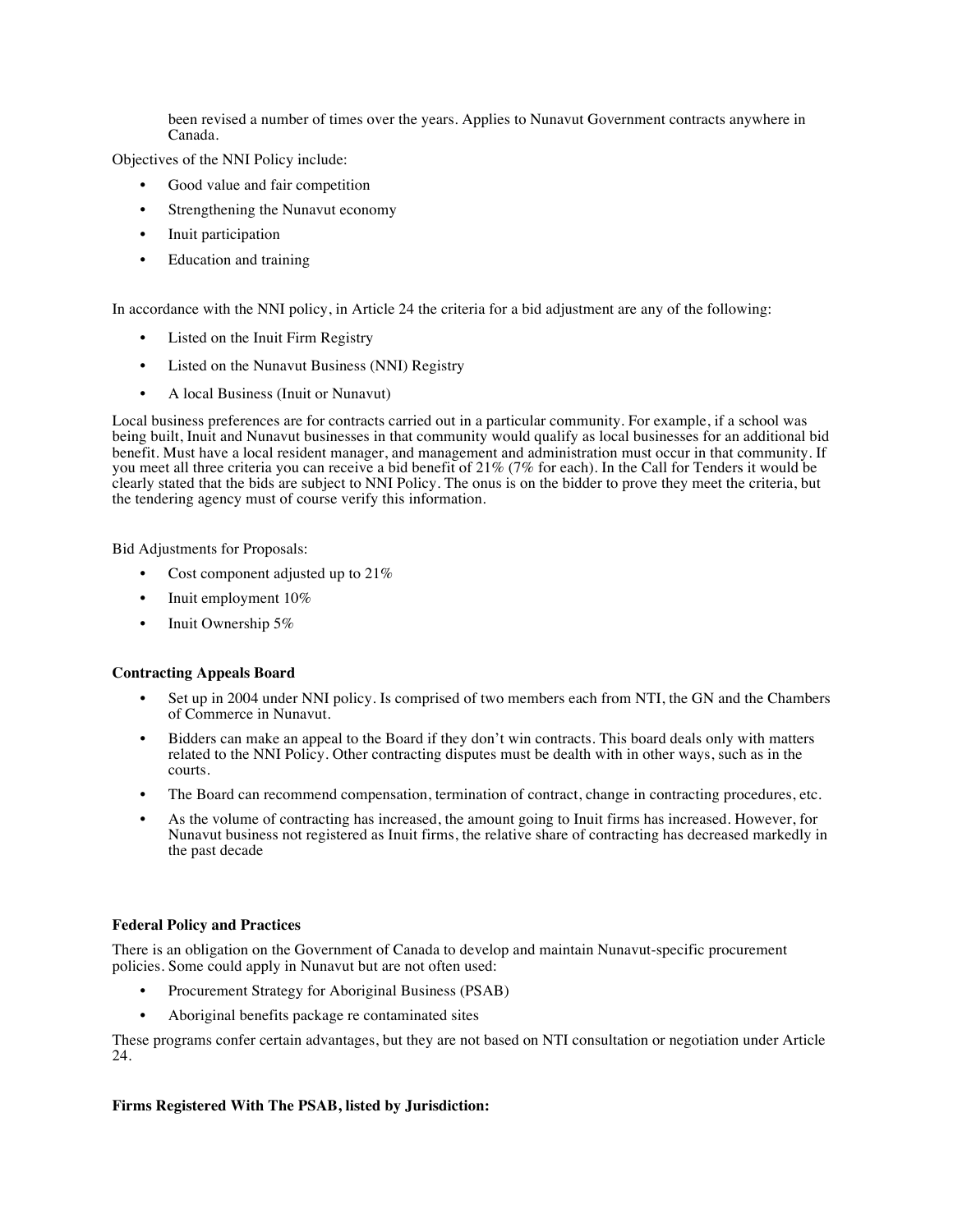been revised a number of times over the years. Applies to Nunavut Government contracts anywhere in Canada.

Objectives of the NNI Policy include:

- Good value and fair competition
- Strengthening the Nunavut economy
- Inuit participation
- Education and training

In accordance with the NNI policy, in Article 24 the criteria for a bid adjustment are any of the following:

- Listed on the Inuit Firm Registry
- Listed on the Nunavut Business (NNI) Registry
- A local Business (Inuit or Nunavut)

Local business preferences are for contracts carried out in a particular community. For example, if a school was being built, Inuit and Nunavut businesses in that community would qualify as local businesses for an additional bid benefit. Must have a local resident manager, and management and administration must occur in that community. If you meet all three criteria you can receive a bid benefit of 21% (7% for each). In the Call for Tenders it would be clearly stated that the bids are subject to NNI Policy. The onus is on the bidder to prove they meet the criteria, but the tendering agency must of course verify this information.

Bid Adjustments for Proposals:

- Cost component adjusted up to  $21\%$
- Inuit employment 10%
- Inuit Ownership 5%

#### **Contracting Appeals Board**

- Set up in 2004 under NNI policy. Is comprised of two members each from NTI, the GN and the Chambers of Commerce in Nunavut.
- Bidders can make an appeal to the Board if they don't win contracts. This board deals only with matters related to the NNI Policy. Other contracting disputes must be dealth with in other ways, such as in the courts.
- The Board can recommend compensation, termination of contract, change in contracting procedures, etc.
- As the volume of contracting has increased, the amount going to Inuit firms has increased. However, for Nunavut business not registered as Inuit firms, the relative share of contracting has decreased markedly in the past decade

#### **Federal Policy and Practices**

There is an obligation on the Government of Canada to develop and maintain Nunavut-specific procurement policies. Some could apply in Nunavut but are not often used:

- Procurement Strategy for Aboriginal Business (PSAB)
- Aboriginal benefits package re contaminated sites

These programs confer certain advantages, but they are not based on NTI consultation or negotiation under Article 24.

#### **Firms Registered With The PSAB, listed by Jurisdiction:**